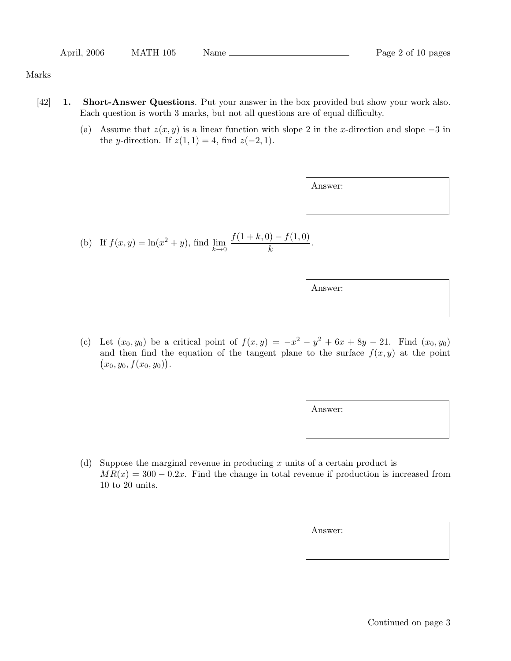| April, 2006 | MATH 105 | Name |
|-------------|----------|------|
|             |          |      |

## Marks

- [42] **1. Short-Answer Questions**. Put your answer in the box provided but show your work also. Each question is worth 3 marks, but not all questions are of equal difficulty.
	- (a) Assume that  $z(x, y)$  is a linear function with slope 2 in the x-direction and slope  $-3$  in the y-direction. If  $z(1, 1) = 4$ , find  $z(-2, 1)$ .

Answer:

(b) If 
$$
f(x, y) = \ln(x^2 + y)
$$
, find  $\lim_{k \to 0} \frac{f(1 + k, 0) - f(1, 0)}{k}$ .

Answer:

(c) Let  $(x_0, y_0)$  be a critical point of  $f(x, y) = -x^2 - y^2 + 6x + 8y - 21$ . Find  $(x_0, y_0)$ and then find the equation of the tangent plane to the surface  $f(x, y)$  at the point  $(x_0, y_0, f(x_0, y_0)).$ 

Answer:

(d) Suppose the marginal revenue in producing  $x$  units of a certain product is  $MR(x) = 300 - 0.2x$ . Find the change in total revenue if production is increased from 10 to 20 units.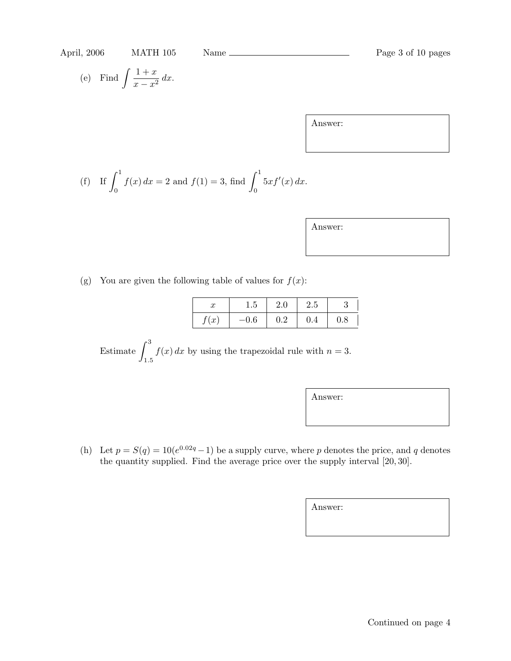(e) Find 
$$
\int \frac{1+x}{x-x^2} dx.
$$

Answer:

(f) If 
$$
\int_0^1 f(x) dx = 2
$$
 and  $f(1) = 3$ , find  $\int_0^1 5xf'(x) dx$ .

| Answer |  |
|--------|--|
|        |  |

(g) You are given the following table of values for  $f(x)$ :

| ℋ    | 1.5    | 2.0 | 2.5 |     |
|------|--------|-----|-----|-----|
| f(x) | $-0.6$ | 0.2 | 0.4 | 0.8 |

Estimate  $\int_0^3$ 1*.*5  $f(x) dx$  by using the trapezoidal rule with  $n = 3$ .

Answer:

(h) Let  $p = S(q) = 10(e^{0.02q} - 1)$  be a supply curve, where p denotes the price, and q denotes the quantity supplied. Find the average price over the supply interval [20, 30].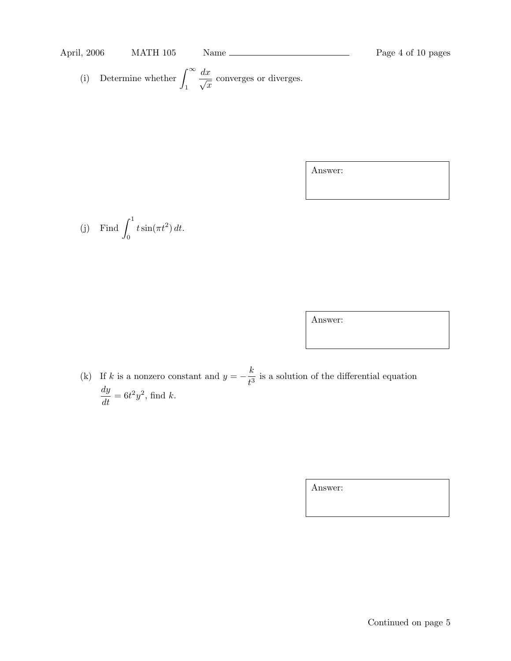## April, 2006 MATH 105 Name Page 4 of 10 pages

(i) Determine whether 
$$
\int_{1}^{\infty} \frac{dx}{\sqrt{x}}
$$
 converges or diverges.

Answer:

(j) Find 
$$
\int_0^1 t \sin(\pi t^2) dt.
$$

Answer:

(k) If k is a nonzero constant and  $y = -\frac{k}{t^3}$  is a solution of the differential equation  $\frac{dy}{dt} = 6t^2y^2$ , find k.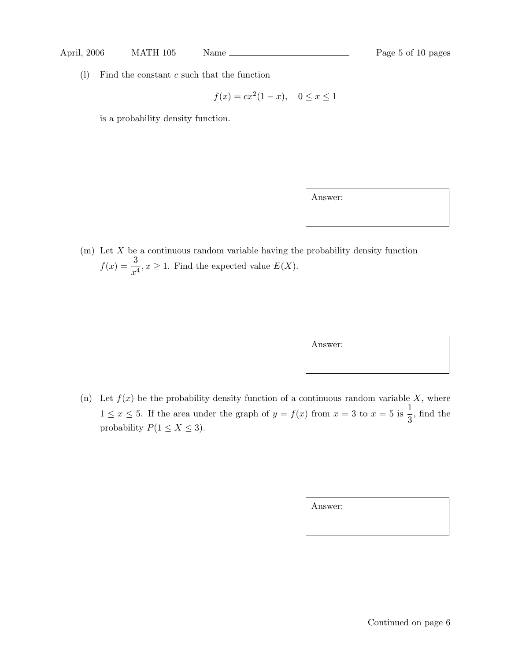(1) Find the constant  $c$  such that the function

$$
f(x) = cx^2(1-x), \quad 0 \le x \le 1
$$

is a probability density function.

Answer:

 $(m)$  Let X be a continuous random variable having the probability density function  $f(x) = \frac{3}{x^4}, x \ge 1$ . Find the expected value  $E(X)$ .

Answer:

(n) Let  $f(x)$  be the probability density function of a continuous random variable X, where  $1 \leq x \leq 5$ . If the area under the graph of  $y = f(x)$  from  $x = 3$  to  $x = 5$  is  $\frac{1}{3}$  $\frac{1}{3}$ , find the probability  $P(1 \le X \le 3)$ .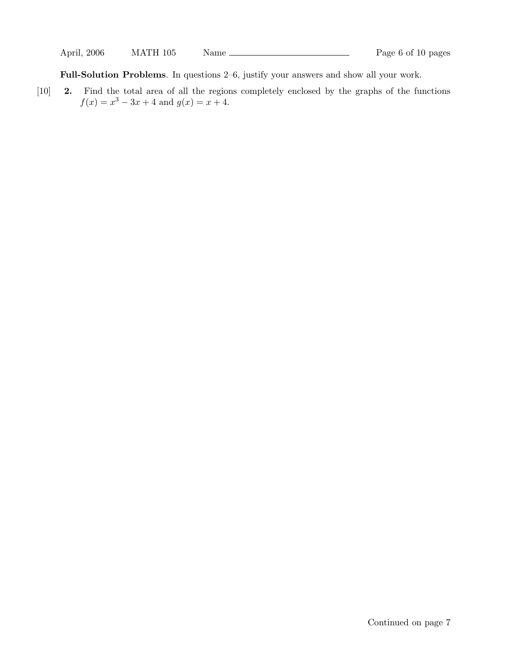**Full-Solution Problems**. In questions 2–6, justify your answers and show all your work.

[10] **2.** Find the total area of all the regions completely enclosed by the graphs of the functions  $f(x) = x^3 - 3x + 4$  and  $g(x) = x + 4$ .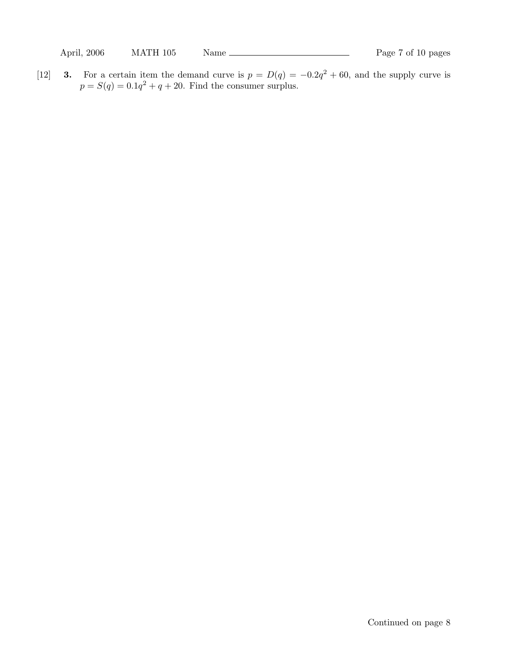[12] **3.** For a certain item the demand curve is  $p = D(q) = -0.2q^2 + 60$ , and the supply curve is  $p = S(q) = 0.1q^2 + q + 20$ . Find the consumer surplus.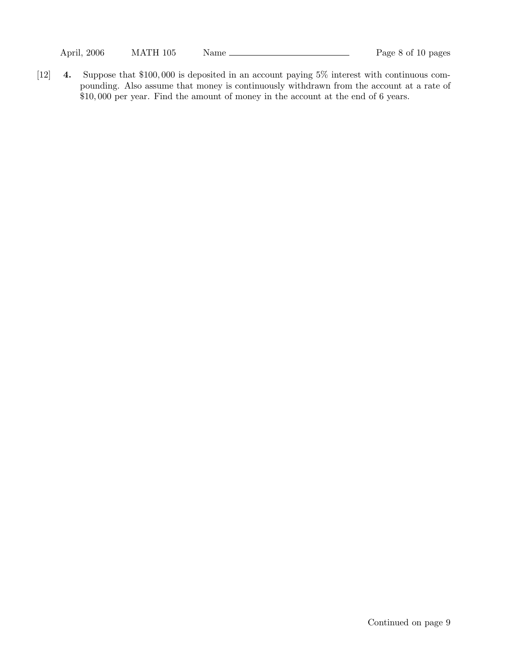April, 2006 MATH 105 Name Page 8 of 10 pages

[12] **4.** Suppose that \$100, 000 is deposited in an account paying 5% interest with continuous compounding. Also assume that money is continuously withdrawn from the account at a rate of \$10, 000 per year. Find the amount of money in the account at the end of 6 years.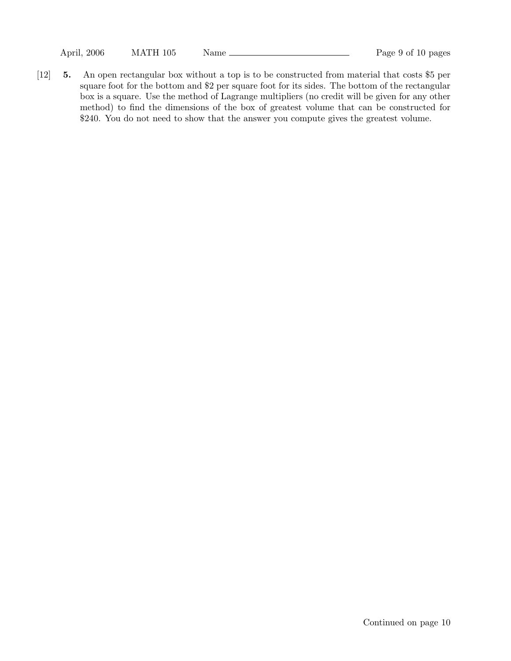April, 2006 MATH 105 Name Page 9 of 10 pages

[12] **5.** An open rectangular box without a top is to be constructed from material that costs \$5 per square foot for the bottom and \$2 per square foot for its sides. The bottom of the rectangular box is a square. Use the method of Lagrange multipliers (no credit will be given for any other method) to find the dimensions of the box of greatest volume that can be constructed for \$240. You do not need to show that the answer you compute gives the greatest volume.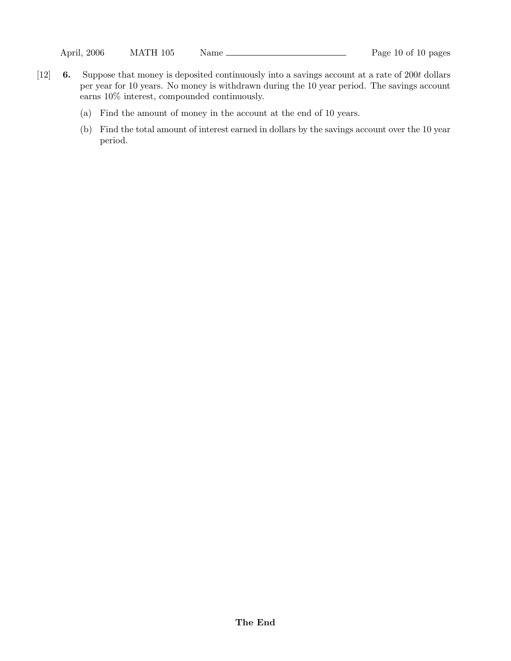- [12] **6.** Suppose that money is deposited continuously into a savings account at a rate of 200t dollars per year for 10 years. No money is withdrawn during the 10 year period. The savings account earns 10% interest, compounded continuously.
	- (a) Find the amount of money in the account at the end of 10 years.
	- (b) Find the total amount of interest earned in dollars by the savings account over the 10 year period.